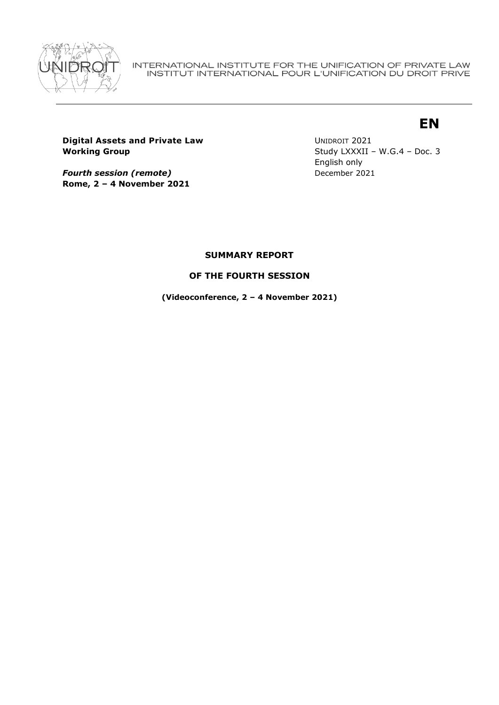

INTERNATIONAL INSTITUTE FOR THE UNIFICATION OF PRIVATE LAW INSTITUT INTERNATIONAL POUR L'UNIFICATION DU DROIT PRIVE

# **EN**

**Digital Assets and Private Law Working Group**

*Fourth session (remote)* **Rome, 2 – 4 November 2021** UNIDROIT 2021 Study LXXXII – W.G.4 – Doc. 3 English only December 2021

# **SUMMARY REPORT**

# **OF THE FOURTH SESSION**

**(Videoconference, 2 – 4 November 2021)**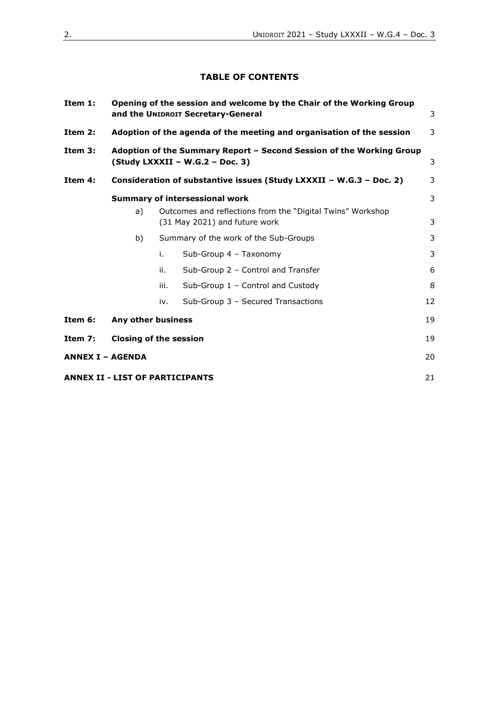# **TABLE OF CONTENTS**

| Item $1:$ | Opening of the session and welcome by the Chair of the Working Group<br>and the UNIDROIT Secretary-General |                                       |                                                                       | 3  |  |
|-----------|------------------------------------------------------------------------------------------------------------|---------------------------------------|-----------------------------------------------------------------------|----|--|
| Item $2:$ |                                                                                                            |                                       | Adoption of the agenda of the meeting and organisation of the session | 3  |  |
| Item 3:   | Adoption of the Summary Report - Second Session of the Working Group<br>(Study LXXXII - W.G.2 - Doc. 3)    |                                       |                                                                       |    |  |
| Item 4:   | Consideration of substantive issues (Study LXXXII - W.G.3 - Doc. 2)                                        |                                       |                                                                       |    |  |
|           | <b>Summary of intersessional work</b>                                                                      |                                       |                                                                       |    |  |
|           | Outcomes and reflections from the "Digital Twins" Workshop<br>a)<br>(31 May 2021) and future work          |                                       |                                                                       | 3  |  |
|           | b)                                                                                                         | Summary of the work of the Sub-Groups |                                                                       | 3  |  |
|           |                                                                                                            | i.                                    | Sub-Group 4 - Taxonomy                                                | 3  |  |
|           |                                                                                                            | ii.                                   | Sub-Group 2 - Control and Transfer                                    | 6  |  |
|           |                                                                                                            | iii.                                  | Sub-Group 1 - Control and Custody                                     | 8  |  |
|           |                                                                                                            | iv.                                   | Sub-Group 3 - Secured Transactions                                    | 12 |  |
| Item 6:   | Any other business                                                                                         |                                       | 19                                                                    |    |  |
| Item 7:   | <b>Closing of the session</b>                                                                              |                                       |                                                                       | 19 |  |
|           | <b>ANNEX I - AGENDA</b>                                                                                    |                                       |                                                                       | 20 |  |
|           | <b>ANNEX II - LIST OF PARTICIPANTS</b>                                                                     |                                       |                                                                       | 21 |  |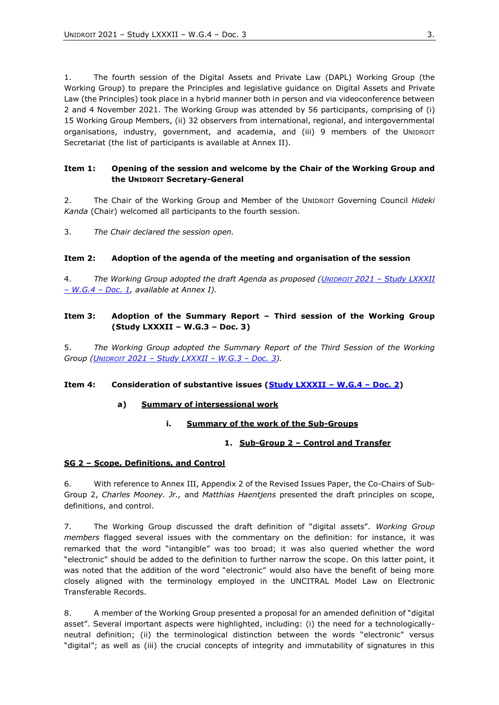1. The fourth session of the Digital Assets and Private Law (DAPL) Working Group (the Working Group) to prepare the Principles and legislative guidance on Digital Assets and Private Law (the Principles) took place in a hybrid manner both in person and via videoconference between 2 and 4 November 2021. The Working Group was attended by 56 participants, comprising of (i) 15 Working Group Members, (ii) 32 observers from international, regional, and intergovernmental organisations, industry, government, and academia, and (iii) 9 members of the UNIDROIT Secretariat (the list of participants is available at Annex II).

#### <span id="page-2-0"></span>**Item 1: Opening of the session and welcome by the Chair of the Working Group and the UNIDROIT Secretary-General**

2. The Chair of the Working Group and Member of the UNIDROIT Governing Council *Hideki Kanda* (Chair) welcomed all participants to the fourth session.

3. *The Chair declared the session open.*

#### <span id="page-2-1"></span>**Item 2: Adoption of the agenda of the meeting and organisation of the session**

4. *The Working Group adopted the draft Agenda as proposed (UNIDROIT 2021 – [Study LXXXII](https://www.unidroit.org/wp-content/uploads/2021/11/Study-82-WG4-Doc.-1-Draft-Annotated-Agenda-Website.pdf)  – [W.G.4](https://www.unidroit.org/wp-content/uploads/2021/11/Study-82-WG4-Doc.-1-Draft-Annotated-Agenda-Website.pdf) – Doc. 1, available at Annex I).*

#### <span id="page-2-2"></span>**Item 3: Adoption of the Summary Report – Third session of the Working Group (Study LXXXII – W.G.3 – Doc. 3)**

5. *The Working Group adopted the Summary Report of the Third Session of the Working Group (UNIDROIT 2021 – [Study LXXXII](https://www.unidroit.org/english/documents/2021/study82/wg03/s-82-wg03-04-e.pdf) – W.G.3 – Doc. 3).*

#### <span id="page-2-4"></span><span id="page-2-3"></span>**Item 4: Consideration of substantive issues [\(Study LXXXII](https://www.unidroit.org/wp-content/uploads/2021/11/Study-82-WG4-Doc.-2-Revised-Issues-Paper-1.pdf) – W.G.4 – Doc. 2)**

#### **a) Summary of intersessional work**

#### **i. Summary of the work of the Sub-Groups**

#### <span id="page-2-6"></span>**1. Sub-Group 2 – Control and Transfer**

#### <span id="page-2-5"></span>**SG 2 – Scope, Definitions, and Control**

6. With reference to Annex III, Appendix 2 of the Revised Issues Paper, the Co-Chairs of Sub-Group 2, *Charles Mooney. Jr.,* and *Matthias Haentjens* presented the draft principles on scope, definitions, and control.

7. The Working Group discussed the draft definition of "digital assets". *Working Group members* flagged several issues with the commentary on the definition: for instance, it was remarked that the word "intangible" was too broad; it was also queried whether the word "electronic" should be added to the definition to further narrow the scope. On this latter point, it was noted that the addition of the word "electronic" would also have the benefit of being more closely aligned with the terminology employed in the UNCITRAL Model Law on Electronic Transferable Records.

8. A member of the Working Group presented a proposal for an amended definition of "digital asset". Several important aspects were highlighted, including: (i) the need for a technologicallyneutral definition; (ii) the terminological distinction between the words "electronic" versus "digital"; as well as (iii) the crucial concepts of integrity and immutability of signatures in this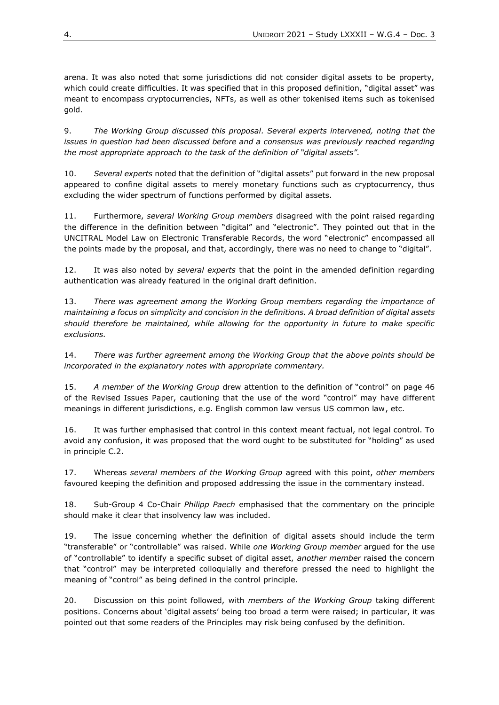arena. It was also noted that some jurisdictions did not consider digital assets to be property, which could create difficulties. It was specified that in this proposed definition, "digital asset" was meant to encompass cryptocurrencies, NFTs, as well as other tokenised items such as tokenised gold.

9. *The Working Group discussed this proposal. Several experts intervened, noting that the issues in question had been discussed before and a consensus was previously reached regarding the most appropriate approach to the task of the definition of "digital assets".* 

10. *Several experts* noted that the definition of "digital assets" put forward in the new proposal appeared to confine digital assets to merely monetary functions such as cryptocurrency, thus excluding the wider spectrum of functions performed by digital assets.

11. Furthermore, *several Working Group members* disagreed with the point raised regarding the difference in the definition between "digital" and "electronic". They pointed out that in the UNCITRAL Model Law on Electronic Transferable Records, the word "electronic" encompassed all the points made by the proposal, and that, accordingly, there was no need to change to "digital".

12. It was also noted by *several experts* that the point in the amended definition regarding authentication was already featured in the original draft definition.

13. *There was agreement among the Working Group members regarding the importance of maintaining a focus on simplicity and concision in the definitions. A broad definition of digital assets should therefore be maintained, while allowing for the opportunity in future to make specific exclusions.*

14. *There was further agreement among the Working Group that the above points should be incorporated in the explanatory notes with appropriate commentary.*

15. *A member of the Working Group* drew attention to the definition of "control" on page 46 of the Revised Issues Paper, cautioning that the use of the word "control" may have different meanings in different jurisdictions, e.g. English common law versus US common law, etc.

16. It was further emphasised that control in this context meant factual, not legal control. To avoid any confusion, it was proposed that the word ought to be substituted for "holding" as used in principle C.2.

17. Whereas *several members of the Working Group* agreed with this point, *other members* favoured keeping the definition and proposed addressing the issue in the commentary instead.

18. Sub-Group 4 Co-Chair *Philipp Paech* emphasised that the commentary on the principle should make it clear that insolvency law was included.

19. The issue concerning whether the definition of digital assets should include the term "transferable" or "controllable" was raised. While *one Working Group member* argued for the use of "controllable" to identify a specific subset of digital asset, *another member* raised the concern that "control" may be interpreted colloquially and therefore pressed the need to highlight the meaning of "control" as being defined in the control principle.

20. Discussion on this point followed, with *members of the Working Group* taking different positions. Concerns about 'digital assets' being too broad a term were raised; in particular, it was pointed out that some readers of the Principles may risk being confused by the definition.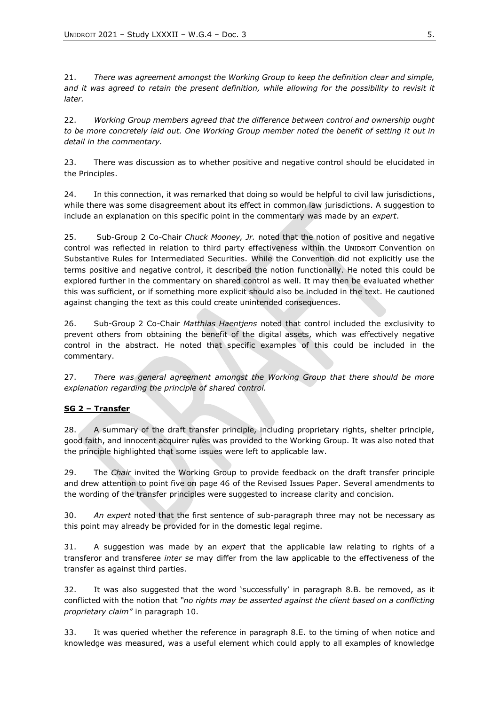21. *There was agreement amongst the Working Group to keep the definition clear and simple, and it was agreed to retain the present definition, while allowing for the possibility to revisit it later.* 

22. *Working Group members agreed that the difference between control and ownership ought to be more concretely laid out. One Working Group member noted the benefit of setting it out in detail in the commentary.* 

23. There was discussion as to whether positive and negative control should be elucidated in the Principles.

24. In this connection, it was remarked that doing so would be helpful to civil law jurisdictions, while there was some disagreement about its effect in common law jurisdictions. A suggestion to include an explanation on this specific point in the commentary was made by an *expert*.

25. Sub-Group 2 Co-Chair *Chuck Mooney, Jr.* noted that the notion of positive and negative control was reflected in relation to third party effectiveness within the UNIDROIT Convention on Substantive Rules for Intermediated Securities. While the Convention did not explicitly use the terms positive and negative control, it described the notion functionally. He noted this could be explored further in the commentary on shared control as well. It may then be evaluated whether this was sufficient, or if something more explicit should also be included in the text. He cautioned against changing the text as this could create unintended consequences.

26. Sub-Group 2 Co-Chair *Matthias Haentjens* noted that control included the exclusivity to prevent others from obtaining the benefit of the digital assets, which was effectively negative control in the abstract. He noted that specific examples of this could be included in the commentary.

27. *There was general agreement amongst the Working Group that there should be more explanation regarding the principle of shared control.*

#### **SG 2 – Transfer**

28. A summary of the draft transfer principle, including proprietary rights, shelter principle, good faith, and innocent acquirer rules was provided to the Working Group. It was also noted that the principle highlighted that some issues were left to applicable law.

29. The *Chair* invited the Working Group to provide feedback on the draft transfer principle and drew attention to point five on page 46 of the Revised Issues Paper. Several amendments to the wording of the transfer principles were suggested to increase clarity and concision.

30. *An expert* noted that the first sentence of sub-paragraph three may not be necessary as this point may already be provided for in the domestic legal regime.

31. A suggestion was made by an *expert* that the applicable law relating to rights of a transferor and transferee *inter se* may differ from the law applicable to the effectiveness of the transfer as against third parties.

32. It was also suggested that the word 'successfully' in paragraph 8.B. be removed, as it conflicted with the notion that *"no rights may be asserted against the client based on a conflicting proprietary claim"* in paragraph 10.

33. It was queried whether the reference in paragraph 8.E. to the timing of when notice and knowledge was measured, was a useful element which could apply to all examples of knowledge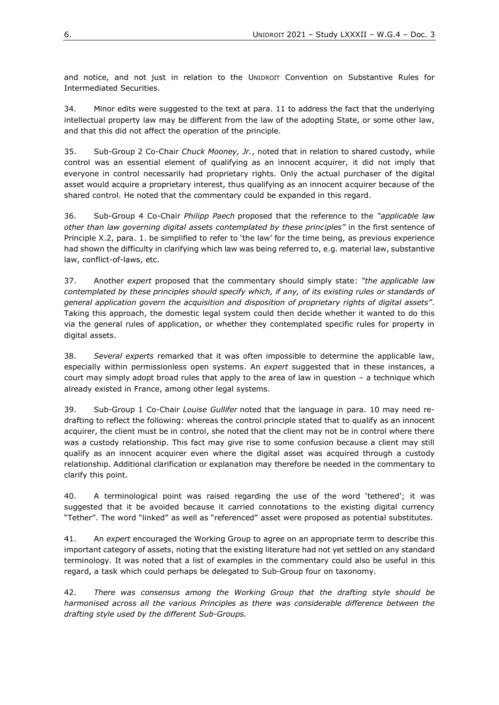and notice, and not just in relation to the UNIDROIT Convention on Substantive Rules for Intermediated Securities.

34. Minor edits were suggested to the text at para. 11 to address the fact that the underlying intellectual property law may be different from the law of the adopting State, or some other law, and that this did not affect the operation of the principle.

35. Sub-Group 2 Co-Chair *Chuck Mooney, Jr.*, noted that in relation to shared custody, while control was an essential element of qualifying as an innocent acquirer, it did not imply that everyone in control necessarily had proprietary rights. Only the actual purchaser of the digital asset would acquire a proprietary interest, thus qualifying as an innocent acquirer because of the shared control. He noted that the commentary could be expanded in this regard.

36. Sub-Group 4 Co-Chair *Philipp Paech* proposed that the reference to the *"applicable law other than law governing digital assets contemplated by these principles"* in the first sentence of Principle X.2, para. 1. be simplified to refer to 'the law' for the time being, as previous experience had shown the difficulty in clarifying which law was being referred to, e.g. material law, substantive law, conflict-of-laws, etc.

37. Another *expert* proposed that the commentary should simply state: *"the applicable law contemplated by these principles should specify which, if any, of its existing rules or standards of general application govern the acquisition and disposition of proprietary rights of digital assets"*. Taking this approach, the domestic legal system could then decide whether it wanted to do this via the general rules of application, or whether they contemplated specific rules for property in digital assets.

38. *Several experts* remarked that it was often impossible to determine the applicable law, especially within permissionless open systems. An *expert* suggested that in these instances, a court may simply adopt broad rules that apply to the area of law in question – a technique which already existed in France, among other legal systems.

39. Sub-Group 1 Co-Chair *Louise Gullifer* noted that the language in para. 10 may need redrafting to reflect the following: whereas the control principle stated that to qualify as an innocent acquirer, the client must be in control, she noted that the client may not be in control where there was a custody relationship. This fact may give rise to some confusion because a client may still qualify as an innocent acquirer even where the digital asset was acquired through a custody relationship. Additional clarification or explanation may therefore be needed in the commentary to clarify this point.

40. A terminological point was raised regarding the use of the word 'tethered'; it was suggested that it be avoided because it carried connotations to the existing digital currency "Tether". The word "linked" as well as "referenced" asset were proposed as potential substitutes.

41. An *expert* encouraged the Working Group to agree on an appropriate term to describe this important category of assets, noting that the existing literature had not yet settled on any standard terminology. It was noted that a list of examples in the commentary could also be useful in this regard, a task which could perhaps be delegated to Sub-Group four on taxonomy.

42. *There was consensus among the Working Group that the drafting style should be harmonised across all the various Principles as there was considerable difference between the drafting style used by the different Sub-Groups.*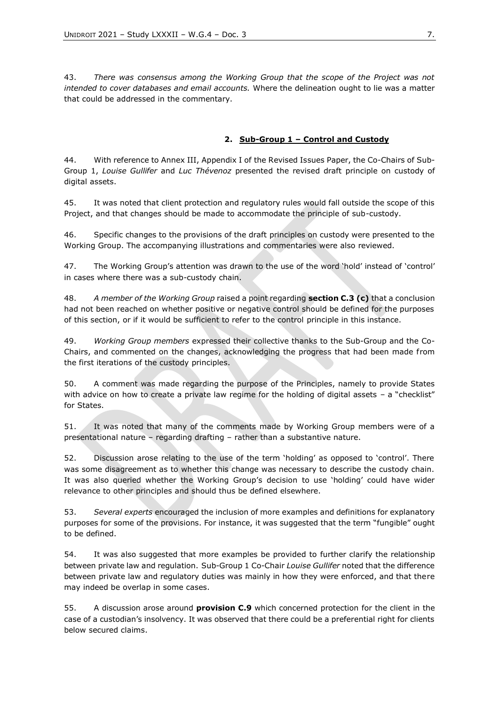43. *There was consensus among the Working Group that the scope of the Project was not intended to cover databases and email accounts.* Where the delineation ought to lie was a matter that could be addressed in the commentary.

#### **2. Sub-Group 1 – Control and Custody**

44. With reference to Annex III, Appendix I of the Revised Issues Paper, the Co-Chairs of Sub-Group 1, *Louise Gullifer* and *Luc Thévenoz* presented the revised draft principle on custody of digital assets.

45. It was noted that client protection and regulatory rules would fall outside the scope of this Project, and that changes should be made to accommodate the principle of sub-custody.

46. Specific changes to the provisions of the draft principles on custody were presented to the Working Group. The accompanying illustrations and commentaries were also reviewed.

47. The Working Group's attention was drawn to the use of the word 'hold' instead of 'control' in cases where there was a sub-custody chain.

48. *A member of the Working Group* raised a point regarding **section C.3 (c)** that a conclusion had not been reached on whether positive or negative control should be defined for the purposes of this section, or if it would be sufficient to refer to the control principle in this instance.

49. *Working Group members* expressed their collective thanks to the Sub-Group and the Co-Chairs, and commented on the changes, acknowledging the progress that had been made from the first iterations of the custody principles.

50. A comment was made regarding the purpose of the Principles, namely to provide States with advice on how to create a private law regime for the holding of digital assets – a "checklist" for States.

51. It was noted that many of the comments made by Working Group members were of a presentational nature – regarding drafting – rather than a substantive nature.

52. Discussion arose relating to the use of the term 'holding' as opposed to 'control'. There was some disagreement as to whether this change was necessary to describe the custody chain. It was also queried whether the Working Group's decision to use 'holding' could have wider relevance to other principles and should thus be defined elsewhere.

53. *Several experts* encouraged the inclusion of more examples and definitions for explanatory purposes for some of the provisions. For instance, it was suggested that the term "fungible" ought to be defined.

54. It was also suggested that more examples be provided to further clarify the relationship between private law and regulation. Sub-Group 1 Co-Chair *Louise Gullifer* noted that the difference between private law and regulatory duties was mainly in how they were enforced, and that there may indeed be overlap in some cases.

55. A discussion arose around **provision C.9** which concerned protection for the client in the case of a custodian's insolvency. It was observed that there could be a preferential right for clients below secured claims.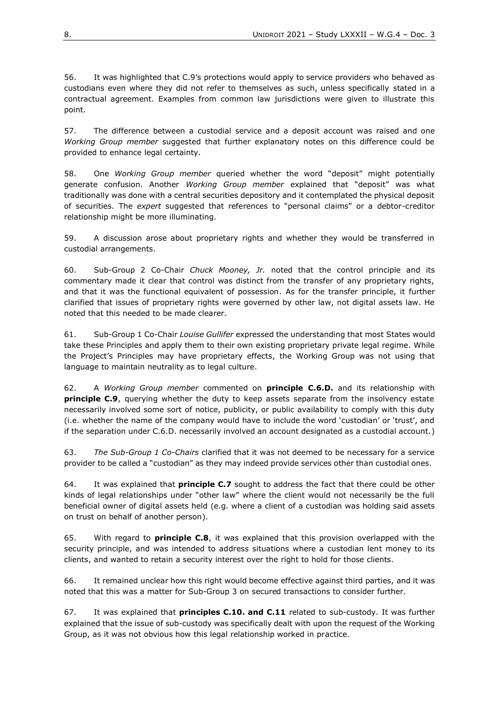56. It was highlighted that C.9's protections would apply to service providers who behaved as custodians even where they did not refer to themselves as such, unless specifically stated in a contractual agreement. Examples from common law jurisdictions were given to illustrate this point.

57. The difference between a custodial service and a deposit account was raised and one *Working Group member* suggested that further explanatory notes on this difference could be provided to enhance legal certainty.

58. One *Working Group member* queried whether the word "deposit" might potentially generate confusion. Another *Working Group member* explained that "deposit" was what traditionally was done with a central securities depository and it contemplated the physical deposit of securities. The *expert* suggested that references to "personal claims" or a debtor-creditor relationship might be more illuminating.

59. A discussion arose about proprietary rights and whether they would be transferred in custodial arrangements.

60. Sub-Group 2 Co-Chair *Chuck Mooney, Jr.* noted that the control principle and its commentary made it clear that control was distinct from the transfer of any proprietary rights, and that it was the functional equivalent of possession. As for the transfer principle, it further clarified that issues of proprietary rights were governed by other law, not digital assets law. He noted that this needed to be made clearer.

61. Sub-Group 1 Co-Chair *Louise Gullifer* expressed the understanding that most States would take these Principles and apply them to their own existing proprietary private legal regime. While the Project's Principles may have proprietary effects, the Working Group was not using that language to maintain neutrality as to legal culture.

62. A *Working Group member* commented on **principle C.6.D.** and its relationship with **principle C.9**, querying whether the duty to keep assets separate from the insolvency estate necessarily involved some sort of notice, publicity, or public availability to comply with this duty (i.e. whether the name of the company would have to include the word 'custodian' or 'trust', and if the separation under C.6.D. necessarily involved an account designated as a custodial account.)

63. *The Sub-Group 1 Co-Chairs* clarified that it was not deemed to be necessary for a service provider to be called a "custodian" as they may indeed provide services other than custodial ones.

64. It was explained that **principle C.7** sought to address the fact that there could be other kinds of legal relationships under "other law" where the client would not necessarily be the full beneficial owner of digital assets held (e.g. where a client of a custodian was holding said assets on trust on behalf of another person).

65. With regard to **principle C.8**, it was explained that this provision overlapped with the security principle, and was intended to address situations where a custodian lent money to its clients, and wanted to retain a security interest over the right to hold for those clients.

66. It remained unclear how this right would become effective against third parties, and it was noted that this was a matter for Sub-Group 3 on secured transactions to consider further.

67. It was explained that **principles C.10. and C.11** related to sub-custody. It was further explained that the issue of sub-custody was specifically dealt with upon the request of the Working Group, as it was not obvious how this legal relationship worked in practice.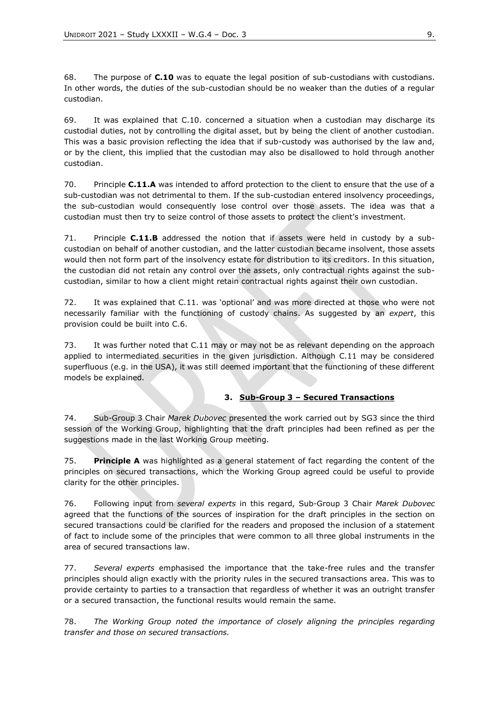68. The purpose of **C.10** was to equate the legal position of sub-custodians with custodians. In other words, the duties of the sub-custodian should be no weaker than the duties of a regular custodian.

69. It was explained that C.10. concerned a situation when a custodian may discharge its custodial duties, not by controlling the digital asset, but by being the client of another custodian. This was a basic provision reflecting the idea that if sub-custody was authorised by the law and, or by the client, this implied that the custodian may also be disallowed to hold through another custodian.

70. Principle **C.11.A** was intended to afford protection to the client to ensure that the use of a sub-custodian was not detrimental to them. If the sub-custodian entered insolvency proceedings, the sub-custodian would consequently lose control over those assets. The idea was that a custodian must then try to seize control of those assets to protect the client's investment.

71. Principle **C.11.B** addressed the notion that if assets were held in custody by a subcustodian on behalf of another custodian, and the latter custodian became insolvent, those assets would then not form part of the insolvency estate for distribution to its creditors. In this situation, the custodian did not retain any control over the assets, only contractual rights against the subcustodian, similar to how a client might retain contractual rights against their own custodian.

72. It was explained that C.11. was 'optional' and was more directed at those who were not necessarily familiar with the functioning of custody chains. As suggested by an *expert*, this provision could be built into C.6.

73. It was further noted that C.11 may or may not be as relevant depending on the approach applied to intermediated securities in the given jurisdiction. Although C.11 may be considered superfluous (e.g. in the USA), it was still deemed important that the functioning of these different models be explained.

#### **3. Sub-Group 3 – Secured Transactions**

74. Sub-Group 3 Chair *Marek Dubovec* presented the work carried out by SG3 since the third session of the Working Group, highlighting that the draft principles had been refined as per the suggestions made in the last Working Group meeting.

75. **Principle A** was highlighted as a general statement of fact regarding the content of the principles on secured transactions, which the Working Group agreed could be useful to provide clarity for the other principles.

76. Following input from *several experts* in this regard, Sub-Group 3 Chair *Marek Dubovec* agreed that the functions of the sources of inspiration for the draft principles in the section on secured transactions could be clarified for the readers and proposed the inclusion of a statement of fact to include some of the principles that were common to all three global instruments in the area of secured transactions law.

77. *Several experts* emphasised the importance that the take-free rules and the transfer principles should align exactly with the priority rules in the secured transactions area. This was to provide certainty to parties to a transaction that regardless of whether it was an outright transfer or a secured transaction, the functional results would remain the same.

78. *The Working Group noted the importance of closely aligning the principles regarding transfer and those on secured transactions.*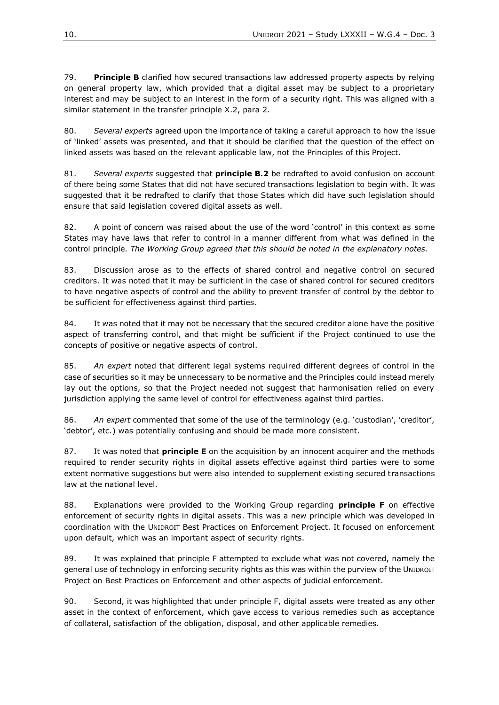79. **Principle B** clarified how secured transactions law addressed property aspects by relying on general property law, which provided that a digital asset may be subject to a proprietary interest and may be subject to an interest in the form of a security right. This was aligned with a similar statement in the transfer principle X.2, para 2.

80. *Several experts* agreed upon the importance of taking a careful approach to how the issue of 'linked' assets was presented, and that it should be clarified that the question of the effect on linked assets was based on the relevant applicable law, not the Principles of this Project.

81. *Several experts* suggested that **principle B.2** be redrafted to avoid confusion on account of there being some States that did not have secured transactions legislation to begin with. It was suggested that it be redrafted to clarify that those States which did have such legislation should ensure that said legislation covered digital assets as well.

82. A point of concern was raised about the use of the word 'control' in this context as some States may have laws that refer to control in a manner different from what was defined in the control principle. *The Working Group agreed that this should be noted in the explanatory notes.*

83. Discussion arose as to the effects of shared control and negative control on secured creditors. It was noted that it may be sufficient in the case of shared control for secured creditors to have negative aspects of control and the ability to prevent transfer of control by the debtor to be sufficient for effectiveness against third parties.

84. It was noted that it may not be necessary that the secured creditor alone have the positive aspect of transferring control, and that might be sufficient if the Project continued to use the concepts of positive or negative aspects of control.

85. *An expert* noted that different legal systems required different degrees of control in the case of securities so it may be unnecessary to be normative and the Principles could instead merely lay out the options, so that the Project needed not suggest that harmonisation relied on every jurisdiction applying the same level of control for effectiveness against third parties.

86. *An expert* commented that some of the use of the terminology (e.g. 'custodian', 'creditor', 'debtor', etc.) was potentially confusing and should be made more consistent.

87. It was noted that **principle E** on the acquisition by an innocent acquirer and the methods required to render security rights in digital assets effective against third parties were to some extent normative suggestions but were also intended to supplement existing secured transactions law at the national level.

88. Explanations were provided to the Working Group regarding **principle F** on effective enforcement of security rights in digital assets. This was a new principle which was developed in coordination with the UNIDROIT Best Practices on Enforcement Project. It focused on enforcement upon default, which was an important aspect of security rights.

89. It was explained that principle F attempted to exclude what was not covered, namely the general use of technology in enforcing security rights as this was within the purview of the UNIDROIT Project on Best Practices on Enforcement and other aspects of judicial enforcement.

90. Second, it was highlighted that under principle F, digital assets were treated as any other asset in the context of enforcement, which gave access to various remedies such as acceptance of collateral, satisfaction of the obligation, disposal, and other applicable remedies.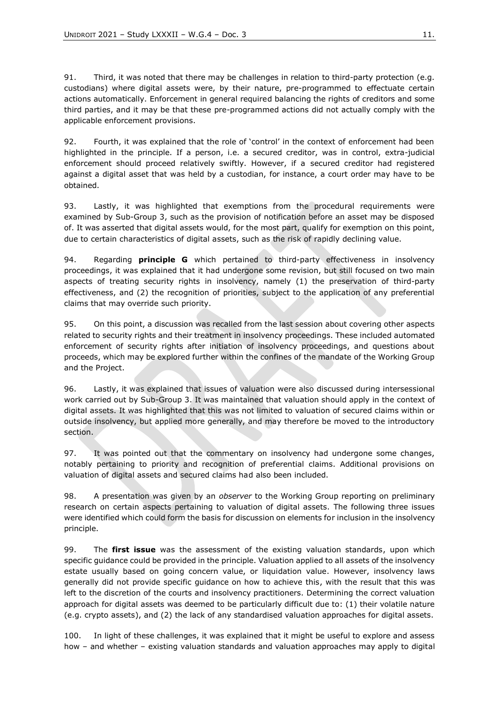91. Third, it was noted that there may be challenges in relation to third-party protection (e.g. custodians) where digital assets were, by their nature, pre-programmed to effectuate certain actions automatically. Enforcement in general required balancing the rights of creditors and some third parties, and it may be that these pre-programmed actions did not actually comply with the applicable enforcement provisions.

92. Fourth, it was explained that the role of 'control' in the context of enforcement had been highlighted in the principle. If a person, i.e. a secured creditor, was in control, extra-judicial enforcement should proceed relatively swiftly. However, if a secured creditor had registered against a digital asset that was held by a custodian, for instance, a court order may have to be obtained.

93. Lastly, it was highlighted that exemptions from the procedural requirements were examined by Sub-Group 3, such as the provision of notification before an asset may be disposed of. It was asserted that digital assets would, for the most part, qualify for exemption on this point, due to certain characteristics of digital assets, such as the risk of rapidly declining value.

94. Regarding **principle G** which pertained to third-party effectiveness in insolvency proceedings, it was explained that it had undergone some revision, but still focused on two main aspects of treating security rights in insolvency, namely (1) the preservation of third-party effectiveness, and (2) the recognition of priorities, subject to the application of any preferential claims that may override such priority.

95. On this point, a discussion was recalled from the last session about covering other aspects related to security rights and their treatment in insolvency proceedings. These included automated enforcement of security rights after initiation of insolvency proceedings, and questions about proceeds, which may be explored further within the confines of the mandate of the Working Group and the Project.

96. Lastly, it was explained that issues of valuation were also discussed during intersessional work carried out by Sub-Group 3. It was maintained that valuation should apply in the context of digital assets. It was highlighted that this was not limited to valuation of secured claims within or outside insolvency, but applied more generally, and may therefore be moved to the introductory section.

97. It was pointed out that the commentary on insolvency had undergone some changes, notably pertaining to priority and recognition of preferential claims. Additional provisions on valuation of digital assets and secured claims had also been included.

98. A presentation was given by an *observer* to the Working Group reporting on preliminary research on certain aspects pertaining to valuation of digital assets. The following three issues were identified which could form the basis for discussion on elements for inclusion in the insolvency principle.

99. The **first issue** was the assessment of the existing valuation standards, upon which specific guidance could be provided in the principle. Valuation applied to all assets of the insolvency estate usually based on going concern value, or liquidation value. However, insolvency laws generally did not provide specific guidance on how to achieve this, with the result that this was left to the discretion of the courts and insolvency practitioners. Determining the correct valuation approach for digital assets was deemed to be particularly difficult due to: (1) their volatile nature (e.g. crypto assets), and (2) the lack of any standardised valuation approaches for digital assets.

100. In light of these challenges, it was explained that it might be useful to explore and assess how – and whether – existing valuation standards and valuation approaches may apply to digital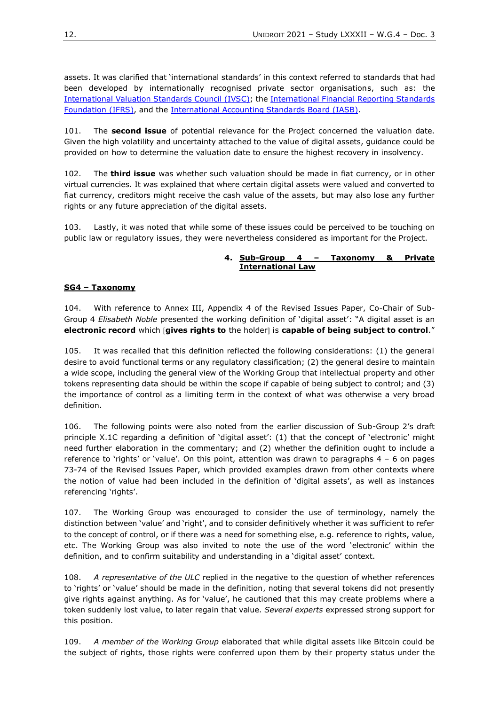assets. It was clarified that 'international standards' in this context referred to standards that had been developed by internationally recognised private sector organisations, such as: the [International Valuation Standards Council \(IVSC\);](https://www.ivsc.org/) the [International Financial Reporting Standards](https://www.ifrs.org/)  [Foundation \(IFRS\),](https://www.ifrs.org/) and the [International Accounting Standards Board \(IASB\).](https://www.ifrs.org/groups/international-accounting-standards-board/)

101. The **second issue** of potential relevance for the Project concerned the valuation date. Given the high volatility and uncertainty attached to the value of digital assets, guidance could be provided on how to determine the valuation date to ensure the highest recovery in insolvency.

102. The **third issue** was whether such valuation should be made in fiat currency, or in other virtual currencies. It was explained that where certain digital assets were valued and converted to fiat currency, creditors might receive the cash value of the assets, but may also lose any further rights or any future appreciation of the digital assets.

103. Lastly, it was noted that while some of these issues could be perceived to be touching on public law or regulatory issues, they were nevertheless considered as important for the Project.

#### **4. Sub-Group 4 – Taxonomy & Private International Law**

#### **SG4 – Taxonomy**

104. With reference to Annex III, Appendix 4 of the Revised Issues Paper, Co-Chair of Sub-Group 4 *Elisabeth Noble* presented the working definition of 'digital asset': "A digital asset is an **electronic record** which *[gives rights to the holder] is capable of being subject to control."* 

105. It was recalled that this definition reflected the following considerations: (1) the general desire to avoid functional terms or any regulatory classification; (2) the general desire to maintain a wide scope, including the general view of the Working Group that intellectual property and other tokens representing data should be within the scope if capable of being subject to control; and (3) the importance of control as a limiting term in the context of what was otherwise a very broad definition.

106. The following points were also noted from the earlier discussion of Sub-Group 2's draft principle X.1C regarding a definition of 'digital asset': (1) that the concept of 'electronic' might need further elaboration in the commentary; and (2) whether the definition ought to include a reference to 'rights' or 'value'. On this point, attention was drawn to paragraphs 4 – 6 on pages 73-74 of the Revised Issues Paper, which provided examples drawn from other contexts where the notion of value had been included in the definition of 'digital assets', as well as instances referencing 'rights'.

107. The Working Group was encouraged to consider the use of terminology, namely the distinction between 'value' and 'right', and to consider definitively whether it was sufficient to refer to the concept of control, or if there was a need for something else, e.g. reference to rights, value, etc. The Working Group was also invited to note the use of the word 'electronic' within the definition, and to confirm suitability and understanding in a 'digital asset' context.

108. *A representative of the ULC* replied in the negative to the question of whether references to 'rights' or 'value' should be made in the definition, noting that several tokens did not presently give rights against anything. As for 'value', he cautioned that this may create problems where a token suddenly lost value, to later regain that value. *Several experts* expressed strong support for this position.

109. *A member of the Working Group* elaborated that while digital assets like Bitcoin could be the subject of rights, those rights were conferred upon them by their property status under the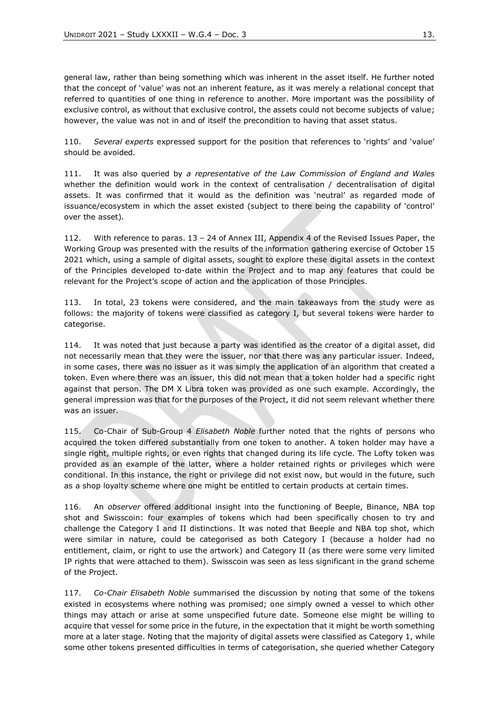general law, rather than being something which was inherent in the asset itself. He further noted that the concept of 'value' was not an inherent feature, as it was merely a relational concept that referred to quantities of one thing in reference to another. More important was the possibility of exclusive control, as without that exclusive control, the assets could not become subjects of value; however, the value was not in and of itself the precondition to having that asset status.

110. *Several experts* expressed support for the position that references to 'rights' and 'value' should be avoided.

111. It was also queried by *a representative of the Law Commission of England and Wales*  whether the definition would work in the context of centralisation / decentralisation of digital assets. It was confirmed that it would as the definition was 'neutral' as regarded mode of issuance/ecosystem in which the asset existed (subject to there being the capability of 'control' over the asset).

112. With reference to paras. 13 – 24 of Annex III, Appendix 4 of the Revised Issues Paper, the Working Group was presented with the results of the information gathering exercise of October 15 2021 which, using a sample of digital assets, sought to explore these digital assets in the context of the Principles developed to-date within the Project and to map any features that could be relevant for the Project's scope of action and the application of those Principles.

113. In total, 23 tokens were considered, and the main takeaways from the study were as follows: the majority of tokens were classified as category I, but several tokens were harder to categorise.

114. It was noted that just because a party was identified as the creator of a digital asset, did not necessarily mean that they were the issuer, nor that there was any particular issuer. Indeed, in some cases, there was no issuer as it was simply the application of an algorithm that created a token. Even where there was an issuer, this did not mean that a token holder had a specific right against that person. The DM X Libra token was provided as one such example. Accordingly, the general impression was that for the purposes of the Project, it did not seem relevant whether there was an issuer.

115. Co-Chair of Sub-Group 4 *Elisabeth Noble* further noted that the rights of persons who acquired the token differed substantially from one token to another. A token holder may have a single right, multiple rights, or even rights that changed during its life cycle. The Lofty token was provided as an example of the latter, where a holder retained rights or privileges which were conditional. In this instance, the right or privilege did not exist now, but would in the future, such as a shop loyalty scheme where one might be entitled to certain products at certain times.

116. An *observer* offered additional insight into the functioning of Beeple, Binance, NBA top shot and Swisscoin: four examples of tokens which had been specifically chosen to try and challenge the Category I and II distinctions. It was noted that Beeple and NBA top shot, which were similar in nature, could be categorised as both Category I (because a holder had no entitlement, claim, or right to use the artwork) and Category II (as there were some very limited IP rights that were attached to them). Swisscoin was seen as less significant in the grand scheme of the Project.

117. *Co-Chair Elisabeth Noble* summarised the discussion by noting that some of the tokens existed in ecosystems where nothing was promised; one simply owned a vessel to which other things may attach or arise at some unspecified future date. Someone else might be willing to acquire that vessel for some price in the future, in the expectation that it might be worth something more at a later stage. Noting that the majority of digital assets were classified as Category 1, while some other tokens presented difficulties in terms of categorisation, she queried whether Category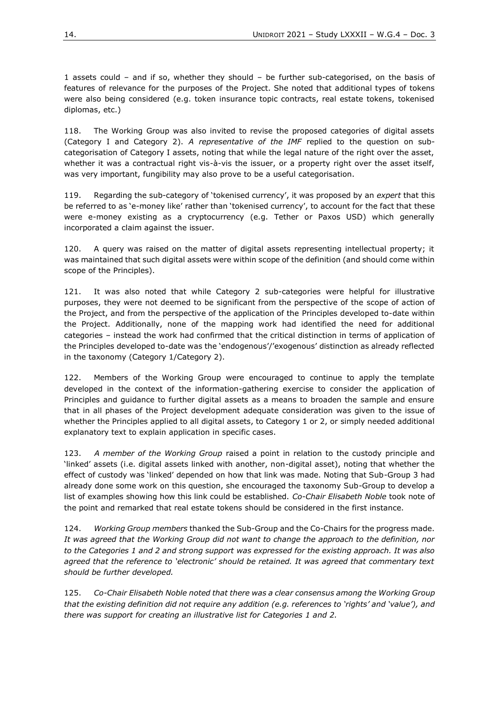1 assets could – and if so, whether they should – be further sub-categorised, on the basis of features of relevance for the purposes of the Project. She noted that additional types of tokens were also being considered (e.g. token insurance topic contracts, real estate tokens, tokenised diplomas, etc.)

118. The Working Group was also invited to revise the proposed categories of digital assets (Category I and Category 2). *A representative of the IMF* replied to the question on subcategorisation of Category I assets, noting that while the legal nature of the right over the asset, whether it was a contractual right vis-à-vis the issuer, or a property right over the asset itself, was very important, fungibility may also prove to be a useful categorisation.

119. Regarding the sub-category of 'tokenised currency', it was proposed by an *expert* that this be referred to as 'e-money like' rather than 'tokenised currency', to account for the fact that these were e-money existing as a cryptocurrency (e.g. Tether or Paxos USD) which generally incorporated a claim against the issuer.

120. A query was raised on the matter of digital assets representing intellectual property; it was maintained that such digital assets were within scope of the definition (and should come within scope of the Principles).

121. It was also noted that while Category 2 sub-categories were helpful for illustrative purposes, they were not deemed to be significant from the perspective of the scope of action of the Project, and from the perspective of the application of the Principles developed to-date within the Project. Additionally, none of the mapping work had identified the need for additional categories – instead the work had confirmed that the critical distinction in terms of application of the Principles developed to-date was the 'endogenous'/'exogenous' distinction as already reflected in the taxonomy (Category 1/Category 2).

122. Members of the Working Group were encouraged to continue to apply the template developed in the context of the information-gathering exercise to consider the application of Principles and guidance to further digital assets as a means to broaden the sample and ensure that in all phases of the Project development adequate consideration was given to the issue of whether the Principles applied to all digital assets, to Category 1 or 2, or simply needed additional explanatory text to explain application in specific cases.

123. *A member of the Working Group* raised a point in relation to the custody principle and 'linked' assets (i.e. digital assets linked with another, non-digital asset), noting that whether the effect of custody was 'linked' depended on how that link was made. Noting that Sub-Group 3 had already done some work on this question, she encouraged the taxonomy Sub-Group to develop a list of examples showing how this link could be established. *Co-Chair Elisabeth Noble* took note of the point and remarked that real estate tokens should be considered in the first instance.

124. *Working Group members* thanked the Sub-Group and the Co-Chairs for the progress made. *It was agreed that the Working Group did not want to change the approach to the definition, nor to the Categories 1 and 2 and strong support was expressed for the existing approach. It was also agreed that the reference to 'electronic' should be retained. It was agreed that commentary text should be further developed.*

125. *Co-Chair Elisabeth Noble noted that there was a clear consensus among the Working Group that the existing definition did not require any addition (e.g. references to 'rights' and 'value'), and there was support for creating an illustrative list for Categories 1 and 2.*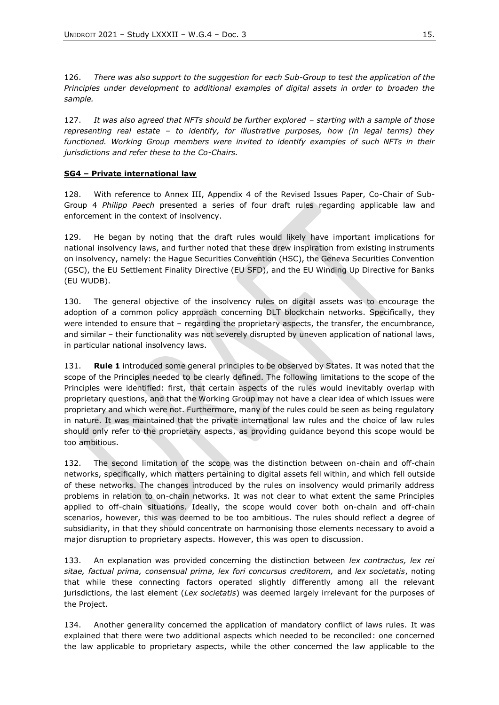126. *There was also support to the suggestion for each Sub-Group to test the application of the Principles under development to additional examples of digital assets in order to broaden the sample.*

127. It was also agreed that NFTs should be further explored – starting with a sample of those *representing real estate – to identify, for illustrative purposes, how (in legal terms) they functioned. Working Group members were invited to identify examples of such NFTs in their jurisdictions and refer these to the Co-Chairs.*

#### **SG4 – Private international law**

128. With reference to Annex III, Appendix 4 of the Revised Issues Paper, Co-Chair of Sub-Group 4 *Philipp Paech* presented a series of four draft rules regarding applicable law and enforcement in the context of insolvency.

129. He began by noting that the draft rules would likely have important implications for national insolvency laws, and further noted that these drew inspiration from existing instruments on insolvency, namely: the Hague Securities Convention (HSC), the Geneva Securities Convention (GSC), the EU Settlement Finality Directive (EU SFD), and the EU Winding Up Directive for Banks (EU WUDB).

130. The general objective of the insolvency rules on digital assets was to encourage the adoption of a common policy approach concerning DLT blockchain networks. Specifically, they were intended to ensure that – regarding the proprietary aspects, the transfer, the encumbrance, and similar – their functionality was not severely disrupted by uneven application of national laws, in particular national insolvency laws.

131. **Rule 1** introduced some general principles to be observed by States. It was noted that the scope of the Principles needed to be clearly defined. The following limitations to the scope of the Principles were identified: first, that certain aspects of the rules would inevitably overlap with proprietary questions, and that the Working Group may not have a clear idea of which issues were proprietary and which were not. Furthermore, many of the rules could be seen as being regulatory in nature. It was maintained that the private international law rules and the choice of law rules should only refer to the proprietary aspects, as providing guidance beyond this scope would be too ambitious.

132. The second limitation of the scope was the distinction between on-chain and off-chain networks, specifically, which matters pertaining to digital assets fell within, and which fell outside of these networks. The changes introduced by the rules on insolvency would primarily address problems in relation to on-chain networks. It was not clear to what extent the same Principles applied to off-chain situations. Ideally, the scope would cover both on-chain and off-chain scenarios, however, this was deemed to be too ambitious. The rules should reflect a degree of subsidiarity, in that they should concentrate on harmonising those elements necessary to avoid a major disruption to proprietary aspects. However, this was open to discussion.

133. An explanation was provided concerning the distinction between *lex contractus, lex rei sitae, factual prima, consensual prima, lex fori concursus creditorem,* and *lex societatis*, noting that while these connecting factors operated slightly differently among all the relevant jurisdictions, the last element (*Lex societatis*) was deemed largely irrelevant for the purposes of the Project.

134. Another generality concerned the application of mandatory conflict of laws rules. It was explained that there were two additional aspects which needed to be reconciled: one concerned the law applicable to proprietary aspects, while the other concerned the law applicable to the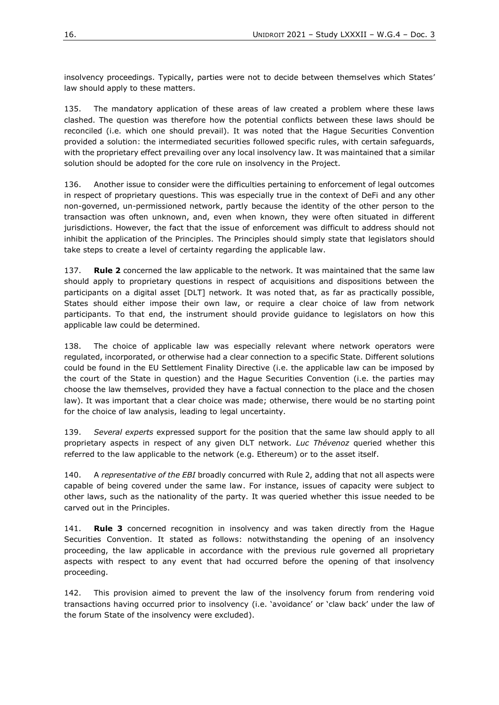insolvency proceedings. Typically, parties were not to decide between themselves which States' law should apply to these matters.

135. The mandatory application of these areas of law created a problem where these laws clashed. The question was therefore how the potential conflicts between these laws should be reconciled (i.e. which one should prevail). It was noted that the Hague Securities Convention provided a solution: the intermediated securities followed specific rules, with certain safeguards, with the proprietary effect prevailing over any local insolvency law. It was maintained that a similar solution should be adopted for the core rule on insolvency in the Project.

136. Another issue to consider were the difficulties pertaining to enforcement of legal outcomes in respect of proprietary questions. This was especially true in the context of DeFi and any other non-governed, un-permissioned network, partly because the identity of the other person to the transaction was often unknown, and, even when known, they were often situated in different jurisdictions. However, the fact that the issue of enforcement was difficult to address should not inhibit the application of the Principles. The Principles should simply state that legislators should take steps to create a level of certainty regarding the applicable law.

137. **Rule 2** concerned the law applicable to the network. It was maintained that the same law should apply to proprietary questions in respect of acquisitions and dispositions between the participants on a digital asset [DLT] network. It was noted that, as far as practically possible, States should either impose their own law, or require a clear choice of law from network participants. To that end, the instrument should provide guidance to legislators on how this applicable law could be determined.

138. The choice of applicable law was especially relevant where network operators were regulated, incorporated, or otherwise had a clear connection to a specific State. Different solutions could be found in the EU Settlement Finality Directive (i.e. the applicable law can be imposed by the court of the State in question) and the Hague Securities Convention (i.e. the parties may choose the law themselves, provided they have a factual connection to the place and the chosen law). It was important that a clear choice was made; otherwise, there would be no starting point for the choice of law analysis, leading to legal uncertainty.

139. *Several experts* expressed support for the position that the same law should apply to all proprietary aspects in respect of any given DLT network. *Luc Thévenoz* queried whether this referred to the law applicable to the network (e.g. Ethereum) or to the asset itself.

140. A *representative of the EBI* broadly concurred with Rule 2, adding that not all aspects were capable of being covered under the same law. For instance, issues of capacity were subject to other laws, such as the nationality of the party. It was queried whether this issue needed to be carved out in the Principles.

141. **Rule 3** concerned recognition in insolvency and was taken directly from the Hague Securities Convention. It stated as follows: notwithstanding the opening of an insolvency proceeding, the law applicable in accordance with the previous rule governed all proprietary aspects with respect to any event that had occurred before the opening of that insolvency proceeding.

142. This provision aimed to prevent the law of the insolvency forum from rendering void transactions having occurred prior to insolvency (i.e. 'avoidance' or 'claw back' under the law of the forum State of the insolvency were excluded).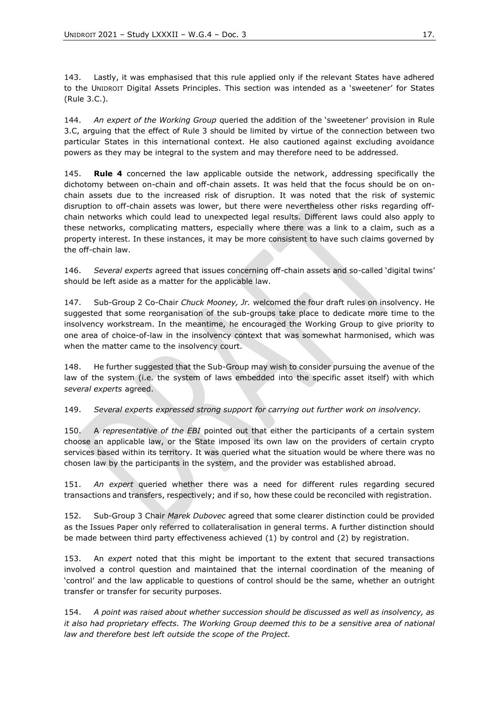143. Lastly, it was emphasised that this rule applied only if the relevant States have adhered to the UNIDROIT Digital Assets Principles. This section was intended as a 'sweetener' for States (Rule 3.C.).

144. *An expert of the Working Group* queried the addition of the 'sweetener' provision in Rule 3.C, arguing that the effect of Rule 3 should be limited by virtue of the connection between two particular States in this international context. He also cautioned against excluding avoidance powers as they may be integral to the system and may therefore need to be addressed.

145. **Rule 4** concerned the law applicable outside the network, addressing specifically the dichotomy between on-chain and off-chain assets. It was held that the focus should be on onchain assets due to the increased risk of disruption. It was noted that the risk of systemic disruption to off-chain assets was lower, but there were nevertheless other risks regarding offchain networks which could lead to unexpected legal results. Different laws could also apply to these networks, complicating matters, especially where there was a link to a claim, such as a property interest. In these instances, it may be more consistent to have such claims governed by the off-chain law.

146. *Several experts* agreed that issues concerning off-chain assets and so-called 'digital twins' should be left aside as a matter for the applicable law.

147. Sub-Group 2 Co-Chair *Chuck Mooney, Jr.* welcomed the four draft rules on insolvency. He suggested that some reorganisation of the sub-groups take place to dedicate more time to the insolvency workstream. In the meantime, he encouraged the Working Group to give priority to one area of choice-of-law in the insolvency context that was somewhat harmonised, which was when the matter came to the insolvency court.

148. He further suggested that the Sub-Group may wish to consider pursuing the avenue of the law of the system (i.e. the system of laws embedded into the specific asset itself) with which *several experts* agreed.

149. *Several experts expressed strong support for carrying out further work on insolvency.* 

150. A *representative of the EBI* pointed out that either the participants of a certain system choose an applicable law, or the State imposed its own law on the providers of certain crypto services based within its territory. It was queried what the situation would be where there was no chosen law by the participants in the system, and the provider was established abroad.

151. *An expert* queried whether there was a need for different rules regarding secured transactions and transfers, respectively; and if so, how these could be reconciled with registration.

152. Sub-Group 3 Chair *Marek Dubovec* agreed that some clearer distinction could be provided as the Issues Paper only referred to collateralisation in general terms. A further distinction should be made between third party effectiveness achieved (1) by control and (2) by registration.

153. An *expert* noted that this might be important to the extent that secured transactions involved a control question and maintained that the internal coordination of the meaning of 'control' and the law applicable to questions of control should be the same, whether an outright transfer or transfer for security purposes.

154. *A point was raised about whether succession should be discussed as well as insolvency, as it also had proprietary effects. The Working Group deemed this to be a sensitive area of national law and therefore best left outside the scope of the Project.*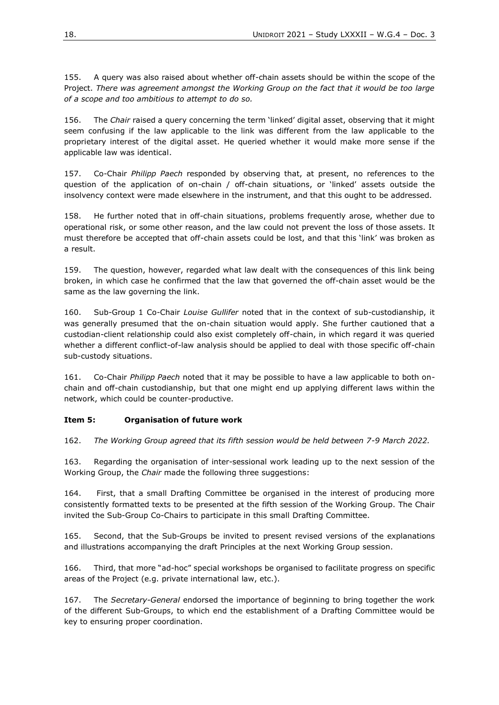155. A query was also raised about whether off-chain assets should be within the scope of the Project. *There was agreement amongst the Working Group on the fact that it would be too large of a scope and too ambitious to attempt to do so.*

156. The *Chair* raised a query concerning the term 'linked' digital asset, observing that it might seem confusing if the law applicable to the link was different from the law applicable to the proprietary interest of the digital asset. He queried whether it would make more sense if the applicable law was identical.

157. Co-Chair *Philipp Paech* responded by observing that, at present, no references to the question of the application of on-chain / off-chain situations, or 'linked' assets outside the insolvency context were made elsewhere in the instrument, and that this ought to be addressed.

158. He further noted that in off-chain situations, problems frequently arose, whether due to operational risk, or some other reason, and the law could not prevent the loss of those assets. It must therefore be accepted that off-chain assets could be lost, and that this 'link' was broken as a result.

159. The question, however, regarded what law dealt with the consequences of this link being broken, in which case he confirmed that the law that governed the off-chain asset would be the same as the law governing the link.

160. Sub-Group 1 Co-Chair *Louise Gullifer* noted that in the context of sub-custodianship, it was generally presumed that the on-chain situation would apply. She further cautioned that a custodian-client relationship could also exist completely off-chain, in which regard it was queried whether a different conflict-of-law analysis should be applied to deal with those specific off-chain sub-custody situations.

161. Co-Chair *Philipp Paech* noted that it may be possible to have a law applicable to both onchain and off-chain custodianship, but that one might end up applying different laws within the network, which could be counter-productive.

#### **Item 5: Organisation of future work**

162. *The Working Group agreed that its fifth session would be held between 7-9 March 2022.*

163. Regarding the organisation of inter-sessional work leading up to the next session of the Working Group, the *Chair* made the following three suggestions:

164. First, that a small Drafting Committee be organised in the interest of producing more consistently formatted texts to be presented at the fifth session of the Working Group. The Chair invited the Sub-Group Co-Chairs to participate in this small Drafting Committee.

165. Second, that the Sub-Groups be invited to present revised versions of the explanations and illustrations accompanying the draft Principles at the next Working Group session.

166. Third, that more "ad-hoc" special workshops be organised to facilitate progress on specific areas of the Project (e.g. private international law, etc.).

167. The *Secretary-General* endorsed the importance of beginning to bring together the work of the different Sub-Groups, to which end the establishment of a Drafting Committee would be key to ensuring proper coordination.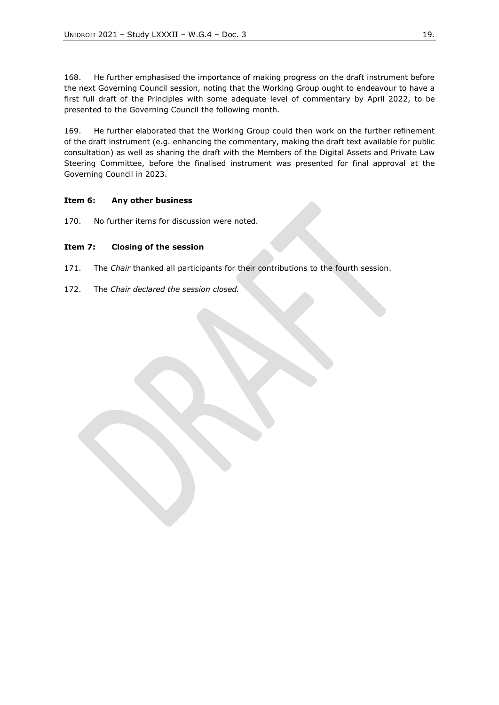168. He further emphasised the importance of making progress on the draft instrument before the next Governing Council session, noting that the Working Group ought to endeavour to have a first full draft of the Principles with some adequate level of commentary by April 2022, to be presented to the Governing Council the following month.

169. He further elaborated that the Working Group could then work on the further refinement of the draft instrument (e.g. enhancing the commentary, making the draft text available for public consultation) as well as sharing the draft with the Members of the Digital Assets and Private Law Steering Committee, before the finalised instrument was presented for final approval at the Governing Council in 2023.

## <span id="page-18-0"></span>**Item 6: Any other business**

170. No further items for discussion were noted.

## <span id="page-18-1"></span>**Item 7: Closing of the session**

- 171. The *Chair* thanked all participants for their contributions to the fourth session.
- 172. The *Chair declared the session closed.*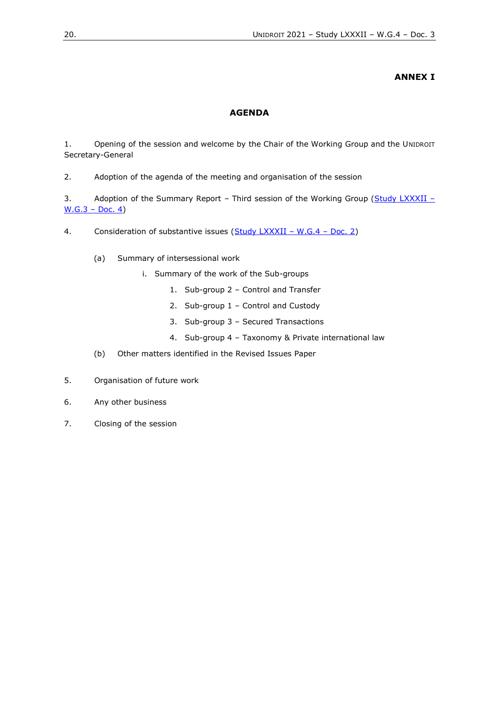# **ANNEX I**

## **AGENDA**

<span id="page-19-1"></span><span id="page-19-0"></span>1. Opening of the session and welcome by the Chair of the Working Group and the UNIDROIT Secretary-General

2. Adoption of the agenda of the meeting and organisation of the session

3. Adoption of the Summary Report – Third session of the Working Group ( $Study$  [LXXXII](https://www.unidroit.org/english/documents/2021/study82/wg03/s-82-wg03-04-e.pdf) –  $W.G.3 - Doc. 4)$  $W.G.3 - Doc. 4)$ 

4. Consideration of substantive issues (Study [LXXXII](https://www.unidroit.org/wp-content/uploads/2021/11/Study-82-WG4-Doc.-2-Revised-Issues-Paper-1.pdf) - W.G.4 - Doc. 2)

- (a) Summary of intersessional work
	- i. Summary of the work of the Sub-groups
		- 1. Sub-group 2 Control and Transfer
		- 2. Sub-group 1 Control and Custody
		- 3. Sub-group 3 Secured Transactions
		- 4. Sub-group 4 Taxonomy & Private international law
- (b) Other matters identified in the Revised Issues Paper
- 5. Organisation of future work
- 6. Any other business
- 7. Closing of the session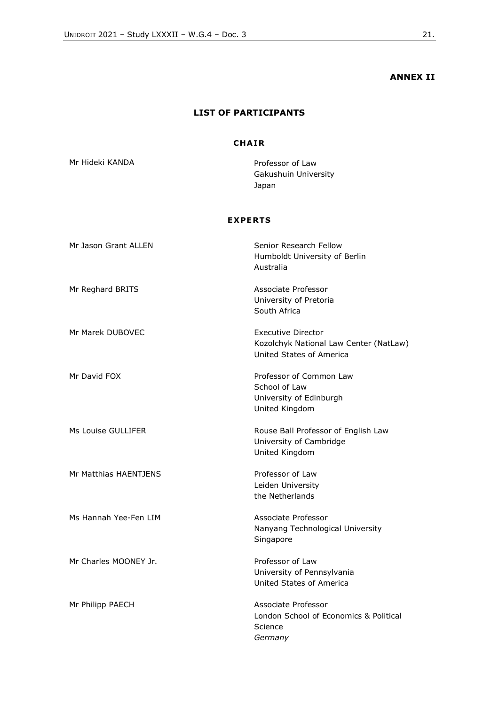# **ANNEX II**

# **LIST OF PARTICIPANTS**

# **CHA IR**

<span id="page-20-1"></span><span id="page-20-0"></span>Mr Hideki KANDA **Professor of Law** Gakushuin University Japan

# **EX PERTS**

| Mr Jason Grant ALLEN  | Senior Research Fellow<br>Humboldt University of Berlin<br>Australia                            |
|-----------------------|-------------------------------------------------------------------------------------------------|
| Mr Reghard BRITS      | Associate Professor<br>University of Pretoria<br>South Africa                                   |
| Mr Marek DUBOVEC      | <b>Executive Director</b><br>Kozolchyk National Law Center (NatLaw)<br>United States of America |
| Mr David FOX          | Professor of Common Law<br>School of Law<br>University of Edinburgh<br>United Kingdom           |
| Ms Louise GULLIFER    | Rouse Ball Professor of English Law<br>University of Cambridge<br>United Kingdom                |
| Mr Matthias HAENTJENS | Professor of Law<br>Leiden University<br>the Netherlands                                        |
| Ms Hannah Yee-Fen LIM | Associate Professor<br>Nanyang Technological University<br>Singapore                            |
| Mr Charles MOONEY Jr. | Professor of Law<br>University of Pennsylvania<br>United States of America                      |
| Mr Philipp PAECH      | Associate Professor<br>London School of Economics & Political<br>Science<br>Germany             |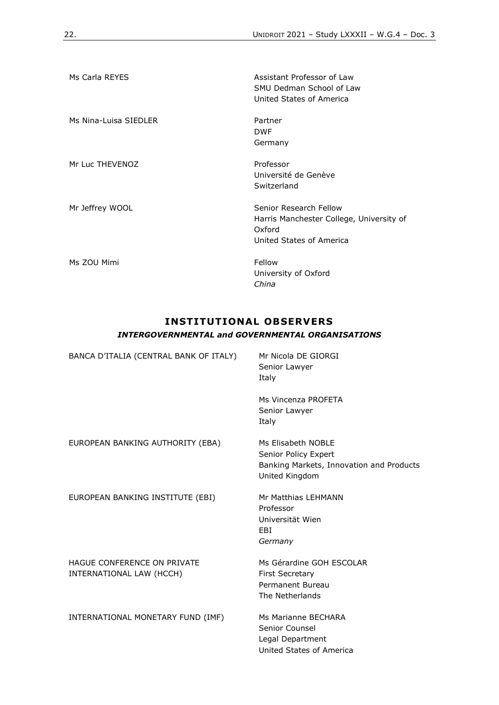| Ms Carla REYES        | Assistant Professor of Law<br>SMU Dedman School of Law<br>United States of America                       |
|-----------------------|----------------------------------------------------------------------------------------------------------|
| Ms Nina-Luisa SIEDLER | Partner<br><b>DWF</b><br>Germany                                                                         |
| Mr Luc THEVENOZ       | Professor<br>Université de Genève<br>Switzerland                                                         |
| Mr Jeffrey WOOL       | Senior Research Fellow<br>Harris Manchester College, University of<br>Oxford<br>United States of America |
| Ms ZOU Mimi           | Fellow<br>University of Oxford<br>China                                                                  |

# **INSTITUTIONAL OBSERVERS** *INTERGOVERNMENTAL and GOVERNMENTAL ORGANISATIONS*

| BANCA D'ITALIA (CENTRAL BANK OF ITALY)                  | Mr Nicola DE GIORGI<br>Senior Lawyer<br>Italy                                                            |  |
|---------------------------------------------------------|----------------------------------------------------------------------------------------------------------|--|
|                                                         | Ms Vincenza PROFETA<br>Senior Lawyer<br>Italy                                                            |  |
| EUROPEAN BANKING AUTHORITY (EBA)                        | Ms Flisabeth NOBLE<br>Senior Policy Expert<br>Banking Markets, Innovation and Products<br>United Kingdom |  |
| EUROPEAN BANKING INSTITUTE (EBI)                        | Mr Matthias LEHMANN<br>Professor<br>Universität Wien<br>EBI<br>Germany                                   |  |
| HAGUE CONFERENCE ON PRIVATE<br>INTERNATIONAL LAW (HCCH) | Ms Gérardine GOH ESCOLAR<br><b>First Secretary</b><br>Permanent Bureau<br>The Netherlands                |  |
| INTERNATIONAL MONETARY FUND (IMF)                       | Ms Marianne BECHARA<br>Senior Counsel<br>Legal Department<br>United States of America                    |  |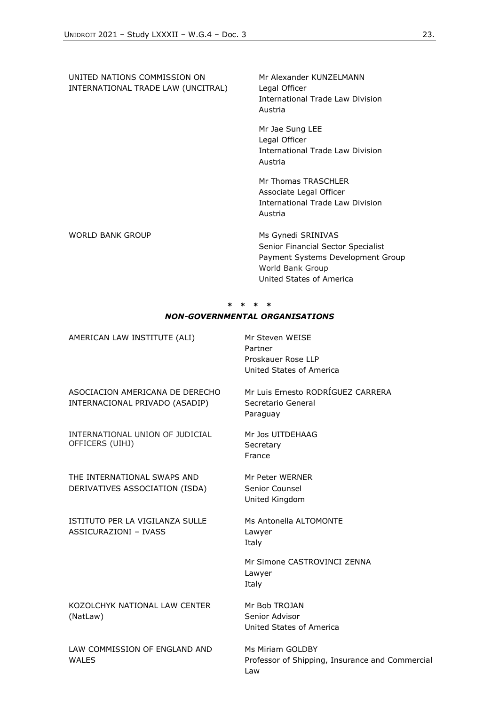UNITED NATIONS COMMISSION ON INTERNATIONAL TRADE LAW (UNCITRAL) Mr Alexander KUNZELMANN Legal Officer International Trade Law Division Austria Mr Jae Sung LEE Legal Officer International Trade Law Division Austria Mr Thomas TRASCHLER Associate Legal Officer International Trade Law Division Austria WORLD BANK GROUP MS Gynedi SRINIVAS Senior Financial Sector Specialist Payment Systems Development Group World Bank Group

# **\* \* \* \*** *NON-GOVERNMENTAL ORGANISATIONS*

United States of America

| AMERICAN LAW INSTITUTE (ALI)                                      | Mr Steven WEISE<br>Partner<br>Proskauer Rose IIP<br>United States of America |
|-------------------------------------------------------------------|------------------------------------------------------------------------------|
| ASOCIACION AMERICANA DE DERECHO<br>INTERNACIONAL PRIVADO (ASADIP) | Mr Luis Ernesto RODRÍGUEZ CARRERA<br>Secretario General<br>Paraguay          |
| INTERNATIONAL UNION OF JUDICIAL<br>OFFICERS (UIHJ)                | Mr Jos UITDEHAAG<br>Secretary<br>France                                      |
| THE INTERNATIONAL SWAPS AND<br>DERIVATIVES ASSOCIATION (ISDA)     | Mr Peter WERNER<br>Senior Counsel<br>United Kingdom                          |
| ISTITUTO PER LA VIGILANZA SULLE<br>ASSICURAZIONI - IVASS          | Ms Antonella ALTOMONTE<br>Lawyer<br>Italy                                    |
|                                                                   | Mr Simone CASTROVINCI ZENNA<br>Lawyer<br>Italy                               |
| KOZOLCHYK NATIONAL LAW CENTER<br>(NatLaw)                         | Mr Bob TROJAN<br>Senior Advisor<br>United States of America                  |
| LAW COMMISSION OF ENGLAND AND<br><b>WALES</b>                     | Ms Miriam GOLDBY<br>Professor of Shipping, Insurance and Commercial<br>Law   |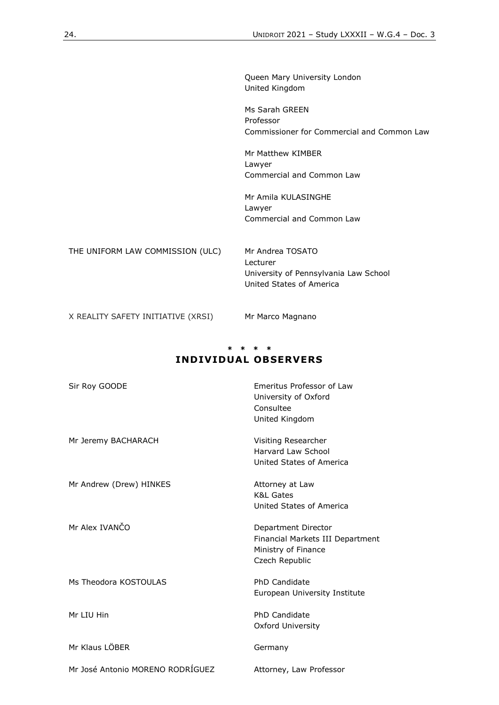Queen Mary University London United Kingdom

Ms Sarah GREEN Professor Commissioner for Commercial and Common Law

Mr Matthew KIMBER Lawyer Commercial and Common Law

Mr Amila KULASINGHE Lawyer Commercial and Common Law

THE UNIFORM LAW COMMISSION (ULC) Mr Andrea TOSATO Lecturer University of Pennsylvania Law School United States of America

X REALITY SAFETY INITIATIVE (XRSI) Mr Marco Magnano

# **\* \* \* \* INDIVIDUAL OBSERVERS**

| Sir Roy GOODE                    | Emeritus Professor of Law<br>University of Oxford<br>Consultee<br>United Kingdom                 |
|----------------------------------|--------------------------------------------------------------------------------------------------|
| Mr Jeremy BACHARACH              | Visiting Researcher<br>Harvard Law School<br>United States of America                            |
| Mr Andrew (Drew) HINKES          | Attorney at Law<br><b>K&amp;L Gates</b><br>United States of America                              |
| Mr Alex IVANČO                   | Department Director<br>Financial Markets III Department<br>Ministry of Finance<br>Czech Republic |
| Ms Theodora KOSTOULAS            | <b>PhD Candidate</b><br>European University Institute                                            |
| Mr LIU Hin                       | PhD Candidate<br>Oxford University                                                               |
| Mr Klaus LÖBER                   | Germany                                                                                          |
| Mr José Antonio MORENO RODRÍGUEZ | Attorney, Law Professor                                                                          |